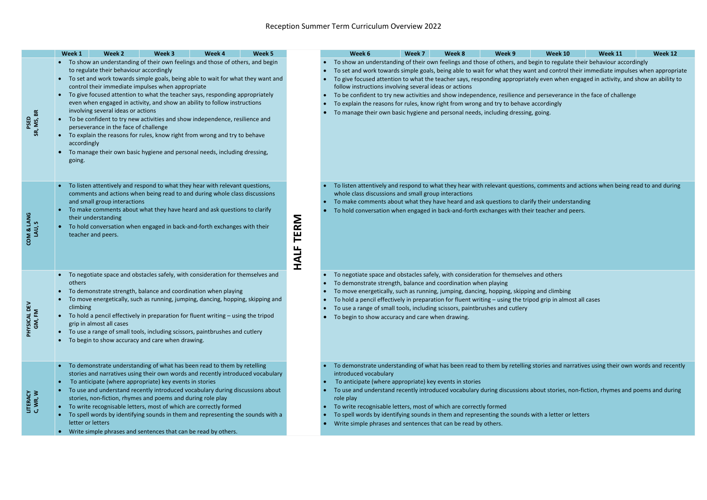|                        | Week 1              | Week 2                                                                                                                                                                                                                                                                                                                                                                                                                                                                                                                                                                                                                                                                                                                                                                   | Week 3 | Week 4 | Week 5 |                            | Week 6                                                                                                                                                                                                                                                                                                                                                                                                                                                                                                                                                                                                                                                                                                                                                       | Week 7 | Week 8 | Week 9 | <b>Week 10</b> | Week 11 | Week 12 |
|------------------------|---------------------|--------------------------------------------------------------------------------------------------------------------------------------------------------------------------------------------------------------------------------------------------------------------------------------------------------------------------------------------------------------------------------------------------------------------------------------------------------------------------------------------------------------------------------------------------------------------------------------------------------------------------------------------------------------------------------------------------------------------------------------------------------------------------|--------|--------|--------|----------------------------|--------------------------------------------------------------------------------------------------------------------------------------------------------------------------------------------------------------------------------------------------------------------------------------------------------------------------------------------------------------------------------------------------------------------------------------------------------------------------------------------------------------------------------------------------------------------------------------------------------------------------------------------------------------------------------------------------------------------------------------------------------------|--------|--------|--------|----------------|---------|---------|
| PSED<br>SR, MS, BR     | $\bullet$<br>going. | • To show an understanding of their own feelings and those of others, and begin<br>to regulate their behaviour accordingly<br>• To set and work towards simple goals, being able to wait for what they want and<br>control their immediate impulses when appropriate<br>To give focused attention to what the teacher says, responding appropriately<br>even when engaged in activity, and show an ability to follow instructions<br>involving several ideas or actions<br>To be confident to try new activities and show independence, resilience and<br>perseverance in the face of challenge<br>To explain the reasons for rules, know right from wrong and try to behave<br>accordingly<br>To manage their own basic hygiene and personal needs, including dressing, |        |        |        |                            | To show an understanding of their own feelings and those of others, and begin to regulate their behaviour accordingly<br>To set and work towards simple goals, being able to wait for what they want and control their immediate impulses when appropriate<br>To give focused attention to what the teacher says, responding appropriately even when engaged in activity, and show an ability to<br>follow instructions involving several ideas or actions<br>To be confident to try new activities and show independence, resilience and perseverance in the face of challenge<br>To explain the reasons for rules, know right from wrong and try to behave accordingly<br>To manage their own basic hygiene and personal needs, including dressing, going. |        |        |        |                |         |         |
| COM & LANG<br>LAU, S   |                     | To listen attentively and respond to what they hear with relevant questions,<br>comments and actions when being read to and during whole class discussions<br>and small group interactions<br>To make comments about what they have heard and ask questions to clarify<br>their understanding<br>To hold conversation when engaged in back-and-forth exchanges with their<br>teacher and peers.                                                                                                                                                                                                                                                                                                                                                                          |        |        |        | <b>TERM</b><br><b>HALF</b> | To listen attentively and respond to what they hear with relevant questions, comments and actions when being read to and during<br>whole class discussions and small group interactions<br>To make comments about what they have heard and ask questions to clarify their understanding<br>To hold conversation when engaged in back-and-forth exchanges with their teacher and peers.                                                                                                                                                                                                                                                                                                                                                                       |        |        |        |                |         |         |
| PHYSICAL DEV<br>GM, FM | others<br>climbing  | To negotiate space and obstacles safely, with consideration for themselves and<br>To demonstrate strength, balance and coordination when playing<br>To move energetically, such as running, jumping, dancing, hopping, skipping and<br>To hold a pencil effectively in preparation for fluent writing - using the tripod<br>grip in almost all cases<br>To use a range of small tools, including scissors, paintbrushes and cutlery<br>To begin to show accuracy and care when drawing.                                                                                                                                                                                                                                                                                  |        |        |        |                            | To negotiate space and obstacles safely, with consideration for themselves and others<br>To demonstrate strength, balance and coordination when playing<br>To move energetically, such as running, jumping, dancing, hopping, skipping and climbing<br>To hold a pencil effectively in preparation for fluent writing - using the tripod grip in almost all cases<br>To use a range of small tools, including scissors, paintbrushes and cutlery<br>To begin to show accuracy and care when drawing.                                                                                                                                                                                                                                                         |        |        |        |                |         |         |
| LITERACY<br>C, WR, W   |                     | To demonstrate understanding of what has been read to them by retelling<br>stories and narratives using their own words and recently introduced vocabulary<br>To anticipate (where appropriate) key events in stories<br>To use and understand recently introduced vocabulary during discussions about<br>stories, non-fiction, rhymes and poems and during role play<br>To write recognisable letters, most of which are correctly formed<br>To spell words by identifying sounds in them and representing the sounds with a<br>letter or letters<br>Write simple phrases and sentences that can be read by others.                                                                                                                                                     |        |        |        |                            | To demonstrate understanding of what has been read to them by retelling stories and narratives using their own words and recently<br>introduced vocabulary<br>To anticipate (where appropriate) key events in stories<br>To use and understand recently introduced vocabulary during discussions about stories, non-fiction, rhymes and poems and during<br>role play<br>To write recognisable letters, most of which are correctly formed<br>To spell words by identifying sounds in them and representing the sounds with a letter or letters<br>Write simple phrases and sentences that can be read by others.                                                                                                                                            |        |        |        |                |         |         |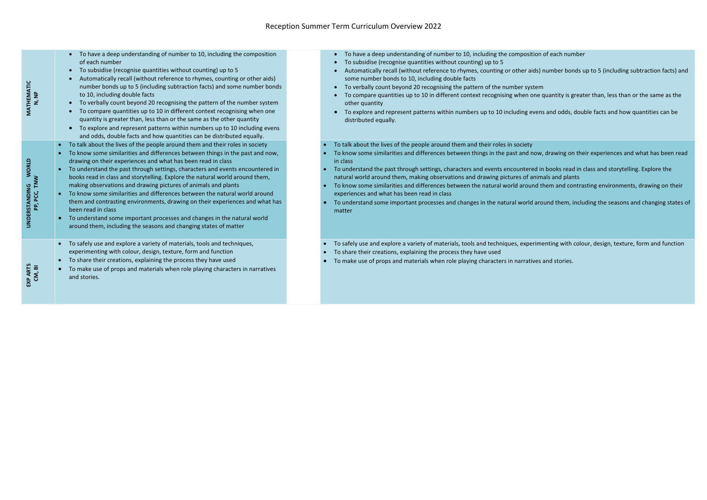| MATHEMATIC                    | To have a deep understanding of number to 10, including the composition<br>of each number<br>To subsidise (recognise quantities without counting) up to 5<br>$\bullet$<br>Automatically recall (without reference to rhymes, counting or other aids)<br>number bonds up to 5 (including subtraction facts) and some number bonds<br>N, NP<br>to 10, including double facts<br>To verbally count beyond 20 recognising the pattern of the number system<br>$\bullet$<br>To compare quantities up to 10 in different context recognising when one<br>$\bullet$<br>quantity is greater than, less than or the same as the other quantity<br>To explore and represent patterns within numbers up to 10 including evens<br>and odds, double facts and how quantities can be distributed equally.                                      | To have a deep understanding of number to 10, including the composit<br>To subsidise (recognise quantities without counting) up to 5<br>Automatically recall (without reference to rhymes, counting or other ai<br>some number bonds to 10, including double facts<br>To verbally count beyond 20 recognising the pattern of the number sys<br>To compare quantities up to 10 in different context recognising when o<br>other quantity<br>To explore and represent patterns within numbers up to 10 including et<br>distributed equally.        |
|-------------------------------|----------------------------------------------------------------------------------------------------------------------------------------------------------------------------------------------------------------------------------------------------------------------------------------------------------------------------------------------------------------------------------------------------------------------------------------------------------------------------------------------------------------------------------------------------------------------------------------------------------------------------------------------------------------------------------------------------------------------------------------------------------------------------------------------------------------------------------|--------------------------------------------------------------------------------------------------------------------------------------------------------------------------------------------------------------------------------------------------------------------------------------------------------------------------------------------------------------------------------------------------------------------------------------------------------------------------------------------------------------------------------------------------|
| <b>WORLD</b><br>UNDERSTANDING | To talk about the lives of the people around them and their roles in society<br>$\bullet$<br>To know some similarities and differences between things in the past and now,<br>drawing on their experiences and what has been read in class<br>To understand the past through settings, characters and events encountered in<br>books read in class and storytelling. Explore the natural world around them,<br>PP, PCC, TNW<br>making observations and drawing pictures of animals and plants<br>To know some similarities and differences between the natural world around<br>them and contrasting environments, drawing on their experiences and what has<br>been read in class<br>To understand some important processes and changes in the natural world<br>around them, including the seasons and changing states of matter | To talk about the lives of the people around them and their roles in society<br>To know some similarities and differences between things in the past and n<br>in class<br>To understand the past through settings, characters and events encountere<br>natural world around them, making observations and drawing pictures of a<br>To know some similarities and differences between the natural world arour<br>experiences and what has been read in class<br>To understand some important processes and changes in the natural world<br>matter |
|                               | To safely use and explore a variety of materials, tools and techniques,<br>$\bullet$<br>experimenting with colour, design, texture, form and function<br>To share their creations, explaining the process they have used<br>$\bullet$<br>EXP ARTS<br>CM, BI<br>To make use of props and materials when role playing characters in narratives<br>and stories.                                                                                                                                                                                                                                                                                                                                                                                                                                                                     | To safely use and explore a variety of materials, tools and techniques, expe<br>To share their creations, explaining the process they have used<br>To make use of props and materials when role playing characters in narrati                                                                                                                                                                                                                                                                                                                    |

mber to 10, including the composition of each number

ce to rhymes, counting or other aids) number bonds up to 5 (including subtraction facts) and

sing the pattern of the number system

Ferent context recognising when one quantity is greater than, less than or the same as the

ithin numbers up to 10 including evens and odds, double facts and how quantities can be

s between things in the past and now, drawing on their experiences and what has been read

characters and events encountered in books read in class and storytelling. Explore the rvations and drawing pictures of animals and plants

s between the natural world around them and contrasting environments, drawing on their

and changes in the natural world around them, including the seasons and changing states of

terials, tools and techniques, experimenting with colour, design, texture, form and function

To make playing characters in narratives and stories.